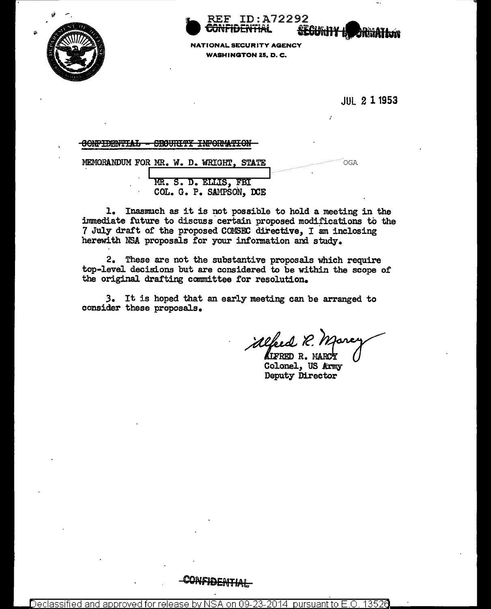

**REF ID:A72292** <del>JONFIDENTIA</del>L

**SEGURITY IN ARRAITION** 

NATIONAL SECURITY AGENCY **WASHINGTON 25, D. C.** 

**JUL 2 1 1953** 

## CONFIDENTIAL - SECURITY INFORMATION

MEMORANDUM FOR MR. W. D. WRIGHT, STATE **OGA** MR. S. D. ELLIS. FBI COL. G. P. SAMPSON, DCE

1. Inasmuch as it is not possible to hold a meeting in the immediate future to discuss certain proposed modifications to the 7 July draft of the proposed COMSEC directive. I am inclosing herewith NSA proposals for your information and study.

2. These are not the substantive proposals which require top-level decisions but are considered to be within the scope of the original drafting committee for resolution.

3. It is hoped that an early meeting can be arranged to consider these proposals.

alfred R. Marc **ALFRED R. MARCY** 

Colonel, US Army Deputy Director

CONFIDENTIAL

Declassified and <u>approved</u> tor release pursuant to